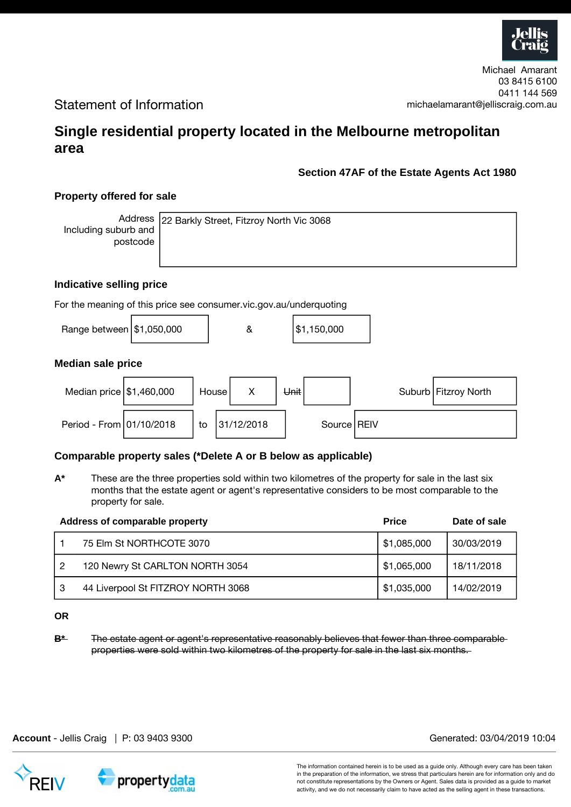

## Statement of Information

# **Single residential property located in the Melbourne metropolitan area**

### **Section 47AF of the Estate Agents Act 1980**

### **Property offered for sale**

Address Including suburb and postcode

22 Barkly Street, Fitzroy North Vic 3068

#### **Indicative selling price**

For the meaning of this price see consumer.vic.gov.au/underquoting

| \$1,150,000 |
|-------------|
|             |

#### **Median sale price**



#### **Comparable property sales (\*Delete A or B below as applicable)**

**A\*** These are the three properties sold within two kilometres of the property for sale in the last six months that the estate agent or agent's representative considers to be most comparable to the property for sale.

|   | Address of comparable property     | <b>Price</b> | Date of sale |
|---|------------------------------------|--------------|--------------|
|   | 75 Elm St NORTHCOTE 3070           | \$1,085,000  | 30/03/2019   |
| 2 | 120 Newry St CARLTON NORTH 3054    | \$1,065,000  | 18/11/2018   |
| 3 | 44 Liverpool St FITZROY NORTH 3068 | \$1,035,000  | 14/02/2019   |

#### **OR**

**B**\* The estate agent or agent's representative reasonably believes that fewer than three comparable properties were sold within two kilometres of the property for sale in the last six months.

propertydata

The information contained herein is to be used as a guide only. Although every care has been taken in the preparation of the information, we stress that particulars herein are for information only and do not constitute representations by the Owners or Agent. Sales data is provided as a guide to market activity, and we do not necessarily claim to have acted as the selling agent in these transactions.